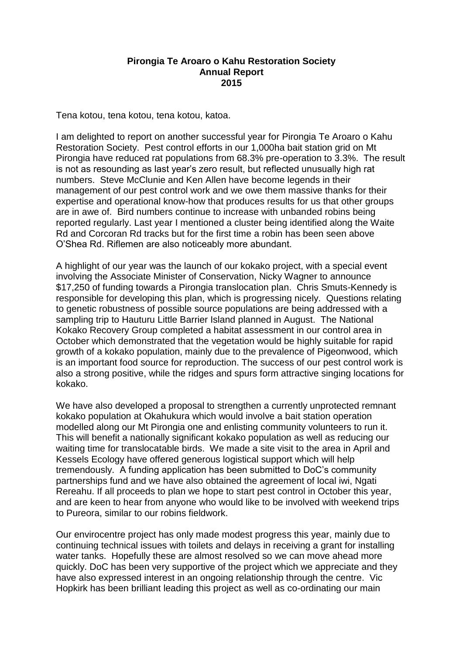## **Pirongia Te Aroaro o Kahu Restoration Society Annual Report 2015**

Tena kotou, tena kotou, tena kotou, katoa.

I am delighted to report on another successful year for Pirongia Te Aroaro o Kahu Restoration Society. Pest control efforts in our 1,000ha bait station grid on Mt Pirongia have reduced rat populations from 68.3% pre-operation to 3.3%. The result is not as resounding as last year's zero result, but reflected unusually high rat numbers. Steve McClunie and Ken Allen have become legends in their management of our pest control work and we owe them massive thanks for their expertise and operational know-how that produces results for us that other groups are in awe of. Bird numbers continue to increase with unbanded robins being reported regularly. Last year I mentioned a cluster being identified along the Waite Rd and Corcoran Rd tracks but for the first time a robin has been seen above O'Shea Rd. Riflemen are also noticeably more abundant.

A highlight of our year was the launch of our kokako project, with a special event involving the Associate Minister of Conservation, Nicky Wagner to announce \$17,250 of funding towards a Pirongia translocation plan. Chris Smuts-Kennedy is responsible for developing this plan, which is progressing nicely. Questions relating to genetic robustness of possible source populations are being addressed with a sampling trip to Hauturu Little Barrier Island planned in August. The National Kokako Recovery Group completed a habitat assessment in our control area in October which demonstrated that the vegetation would be highly suitable for rapid growth of a kokako population, mainly due to the prevalence of Pigeonwood, which is an important food source for reproduction. The success of our pest control work is also a strong positive, while the ridges and spurs form attractive singing locations for kokako.

We have also developed a proposal to strengthen a currently unprotected remnant kokako population at Okahukura which would involve a bait station operation modelled along our Mt Pirongia one and enlisting community volunteers to run it. This will benefit a nationally significant kokako population as well as reducing our waiting time for translocatable birds. We made a site visit to the area in April and Kessels Ecology have offered generous logistical support which will help tremendously. A funding application has been submitted to DoC's community partnerships fund and we have also obtained the agreement of local iwi, Ngati Rereahu. If all proceeds to plan we hope to start pest control in October this year, and are keen to hear from anyone who would like to be involved with weekend trips to Pureora, similar to our robins fieldwork.

Our envirocentre project has only made modest progress this year, mainly due to continuing technical issues with toilets and delays in receiving a grant for installing water tanks. Hopefully these are almost resolved so we can move ahead more quickly. DoC has been very supportive of the project which we appreciate and they have also expressed interest in an ongoing relationship through the centre. Vic Hopkirk has been brilliant leading this project as well as co-ordinating our main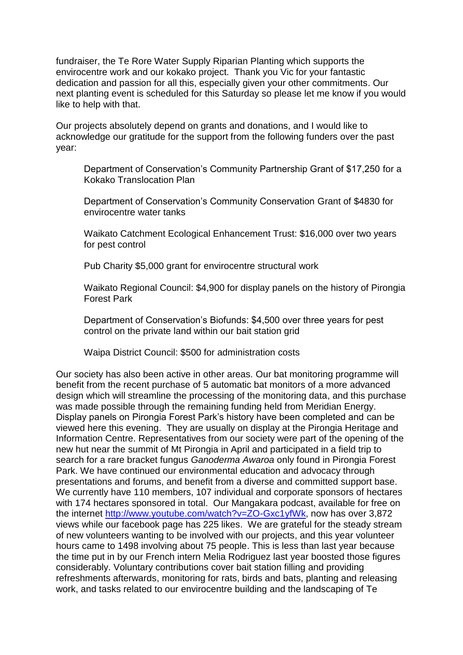fundraiser, the Te Rore Water Supply Riparian Planting which supports the envirocentre work and our kokako project. Thank you Vic for your fantastic dedication and passion for all this, especially given your other commitments. Our next planting event is scheduled for this Saturday so please let me know if you would like to help with that.

Our projects absolutely depend on grants and donations, and I would like to acknowledge our gratitude for the support from the following funders over the past year:

Department of Conservation's Community Partnership Grant of \$17,250 for a Kokako Translocation Plan

Department of Conservation's Community Conservation Grant of \$4830 for envirocentre water tanks

Waikato Catchment Ecological Enhancement Trust: \$16,000 over two years for pest control

Pub Charity \$5,000 grant for envirocentre structural work

Waikato Regional Council: \$4,900 for display panels on the history of Pirongia Forest Park

Department of Conservation's Biofunds: \$4,500 over three years for pest control on the private land within our bait station grid

Waipa District Council: \$500 for administration costs

Our society has also been active in other areas. Our bat monitoring programme will benefit from the recent purchase of 5 automatic bat monitors of a more advanced design which will streamline the processing of the monitoring data, and this purchase was made possible through the remaining funding held from Meridian Energy. Display panels on Pirongia Forest Park's history have been completed and can be viewed here this evening. They are usually on display at the Pirongia Heritage and Information Centre. Representatives from our society were part of the opening of the new hut near the summit of Mt Pirongia in April and participated in a field trip to search for a rare bracket fungus *Ganoderma Awaroa* only found in Pirongia Forest Park. We have continued our environmental education and advocacy through presentations and forums, and benefit from a diverse and committed support base. We currently have 110 members, 107 individual and corporate sponsors of hectares with 174 hectares sponsored in total. Our Mangakara podcast, available for free on the internet [http://www.youtube.com/watch?v=ZO-Gxc1yfWk,](http://www.youtube.com/watch?v=ZO-Gxc1yfWk) now has over 3,872 views while our facebook page has 225 likes. We are grateful for the steady stream of new volunteers wanting to be involved with our projects, and this year volunteer hours came to 1498 involving about 75 people. This is less than last year because the time put in by our French intern Melia Rodriguez last year boosted those figures considerably. Voluntary contributions cover bait station filling and providing refreshments afterwards, monitoring for rats, birds and bats, planting and releasing work, and tasks related to our envirocentre building and the landscaping of Te